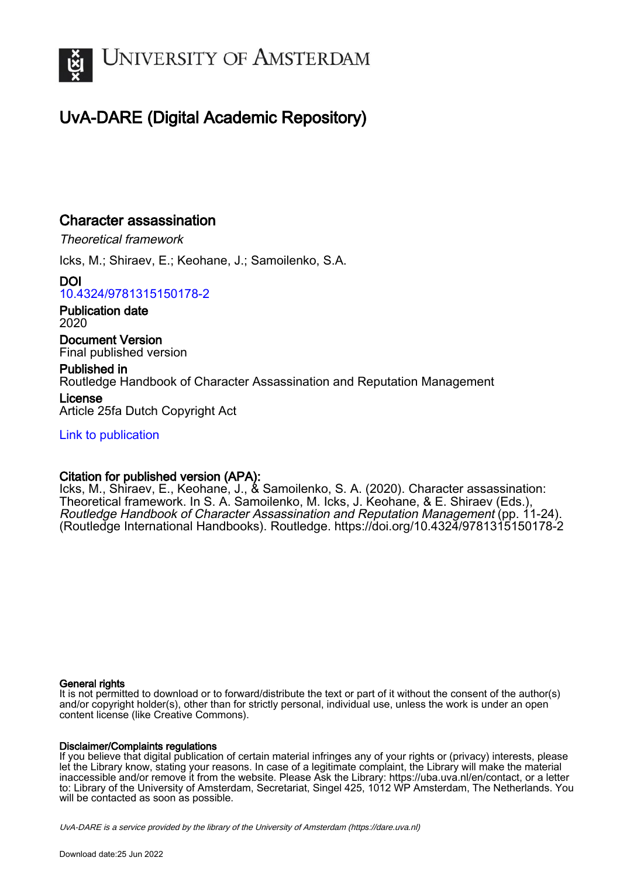

# UvA-DARE (Digital Academic Repository)

## Character assassination

Theoretical framework

Icks, M.; Shiraev, E.; Keohane, J.; Samoilenko, S.A.

DOI [10.4324/9781315150178-2](https://doi.org/10.4324/9781315150178-2)

Publication date 2020

Document Version Final published version

Published in Routledge Handbook of Character Assassination and Reputation Management License Article 25fa Dutch Copyright Act

[Link to publication](https://dare.uva.nl/personal/pure/en/publications/character-assassination(d491bc31-c431-4188-b063-f17b3359401d).html)

## Citation for published version (APA):

Icks, M., Shiraev, E., Keohane, J., & Samoilenko, S. A. (2020). Character assassination: Theoretical framework. In S. A. Samoilenko, M. Icks, J. Keohane, & E. Shiraev (Eds.), Routledge Handbook of Character Assassination and Reputation Management (pp. 11-24). (Routledge International Handbooks). Routledge. <https://doi.org/10.4324/9781315150178-2>

#### General rights

It is not permitted to download or to forward/distribute the text or part of it without the consent of the author(s) and/or copyright holder(s), other than for strictly personal, individual use, unless the work is under an open content license (like Creative Commons).

#### Disclaimer/Complaints regulations

If you believe that digital publication of certain material infringes any of your rights or (privacy) interests, please let the Library know, stating your reasons. In case of a legitimate complaint, the Library will make the material inaccessible and/or remove it from the website. Please Ask the Library: https://uba.uva.nl/en/contact, or a letter to: Library of the University of Amsterdam, Secretariat, Singel 425, 1012 WP Amsterdam, The Netherlands. You will be contacted as soon as possible.

UvA-DARE is a service provided by the library of the University of Amsterdam (http*s*://dare.uva.nl)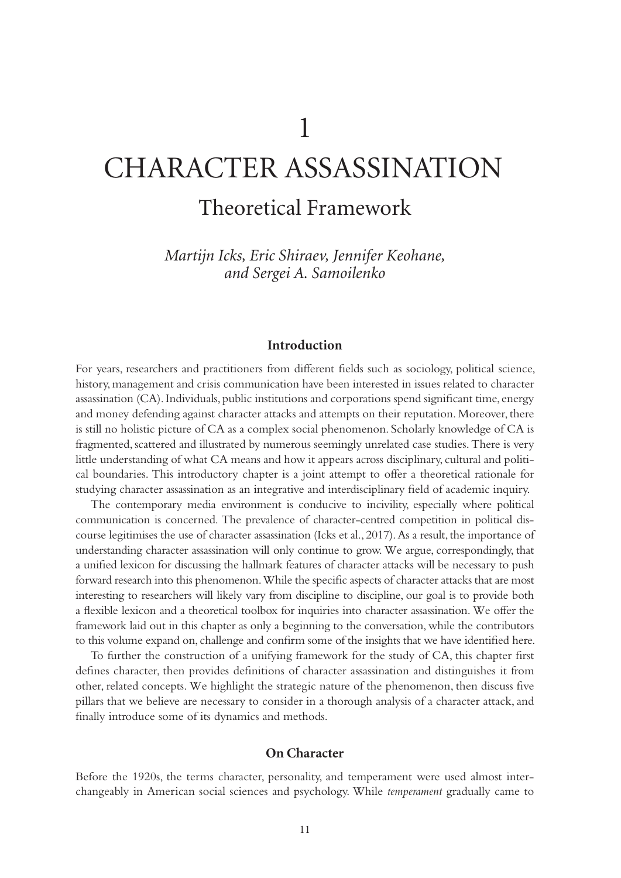# CHARACTER ASSASSINATION

# Theoretical Framework

*Martijn Icks, Eric Shiraev, Jennifer Keohane, and Sergei A. Samoilenko*

#### **Introduction**

For years, researchers and practitioners from different fields such as sociology, political science, history, management and crisis communication have been interested in issues related to character assassination (CA). Individuals, public institutions and corporations spend significant time, energy and money defending against character attacks and attempts on their reputation. Moreover, there is still no holistic picture of CA as a complex social phenomenon. Scholarly knowledge of CA is fragmented, scattered and illustrated by numerous seemingly unrelated case studies. There is very little understanding of what CA means and how it appears across disciplinary, cultural and political boundaries. This introductory chapter is a joint attempt to offer a theoretical rationale for studying character assassination as an integrative and interdisciplinary field of academic inquiry.

The contemporary media environment is conducive to incivility, especially where political communication is concerned. The prevalence of character-centred competition in political discourse legitimises the use of character assassination (Icks et al., 2017). As a result, the importance of understanding character assassination will only continue to grow. We argue, correspondingly, that a unified lexicon for discussing the hallmark features of character attacks will be necessary to push forward research into this phenomenon. While the specific aspects of character attacks that are most interesting to researchers will likely vary from discipline to discipline, our goal is to provide both a flexible lexicon and a theoretical toolbox for inquiries into character assassination. We offer the framework laid out in this chapter as only a beginning to the conversation, while the contributors to this volume expand on, challenge and confirm some of the insights that we have identified here.

To further the construction of a unifying framework for the study of CA, this chapter first defines character, then provides definitions of character assassination and distinguishes it from other, related concepts. We highlight the strategic nature of the phenomenon, then discuss five pillars that we believe are necessary to consider in a thorough analysis of a character attack, and finally introduce some of its dynamics and methods.

#### **On Character**

Before the 1920s, the terms character, personality, and temperament were used almost interchangeably in American social sciences and psychology. While *temperament* gradually came to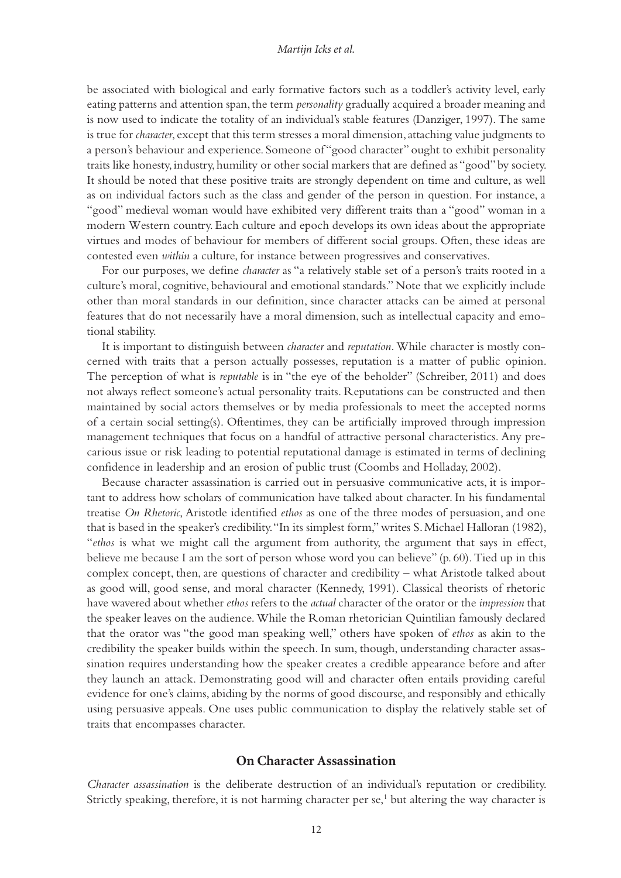#### *Martijn Icks et al.*

<span id="page-2-0"></span>be associated with biological and early formative factors such as a toddler's activity level, early eating patterns and attention span, the term *personality* gradually acquired a broader meaning and is now used to indicate the totality of an individual's stable features (Danziger, 1997). The same is true for *character*, except that this term stresses a moral dimension, attaching value judgments to a person's behaviour and experience. Someone of "good character" ought to exhibit personality traits like honesty, industry, humility or other social markers that are defined as "good" by society. It should be noted that these positive traits are strongly dependent on time and culture, as well as on individual factors such as the class and gender of the person in question. For instance, a "good" medieval woman would have exhibited very different traits than a "good" woman in a modern Western country. Each culture and epoch develops its own ideas about the appropriate virtues and modes of behaviour for members of different social groups. Often, these ideas are contested even *within* a culture, for instance between progressives and conservatives.

For our purposes, we define *character* as "a relatively stable set of a person's traits rooted in a culture's moral, cognitive, behavioural and emotional standards." Note that we explicitly include other than moral standards in our definition, since character attacks can be aimed at personal features that do not necessarily have a moral dimension, such as intellectual capacity and emotional stability.

It is important to distinguish between *character* and *reputation*. While character is mostly concerned with traits that a person actually possesses, reputation is a matter of public opinion. The perception of what is *reputable* is in "the eye of the beholder" (Schreiber, 2011) and does not always reflect someone's actual personality traits. Reputations can be constructed and then maintained by social actors themselves or by media professionals to meet the accepted norms of a certain social setting(s). Oftentimes, they can be artificially improved through impression management techniques that focus on a handful of attractive personal characteristics. Any precarious issue or risk leading to potential reputational damage is estimated in terms of declining confidence in leadership and an erosion of public trust (Coombs and Holladay, 2002).

Because character assassination is carried out in persuasive communicative acts, it is important to address how scholars of communication have talked about character. In his fundamental treatise *On Rhetoric*, Aristotle identified *ethos* as one of the three modes of persuasion, and one that is based in the speaker's credibility. "In its simplest form," writes S. Michael Halloran (1982), "*ethos* is what we might call the argument from authority, the argument that says in effect, believe me because I am the sort of person whose word you can believe" (p. 60). Tied up in this complex concept, then, are questions of character and credibility – what Aristotle talked about as good will, good sense, and moral character (Kennedy, 1991). Classical theorists of rhetoric have wavered about whether *ethos* refers to the *actual* character of the orator or the *impression* that the speaker leaves on the audience. While the Roman rhetorician Quintilian famously declared that the orator was "the good man speaking well," others have spoken of *ethos* as akin to the credibility the speaker builds within the speech. In sum, though, understanding character assassination requires understanding how the speaker creates a credible appearance before and after they launch an attack. Demonstrating good will and character often entails providing careful evidence for one's claims, abiding by the norms of good discourse, and responsibly and ethically using persuasive appeals. One uses public communication to display the relatively stable set of traits that encompasses character.

#### **On Character Assassination**

*Character assassination* is the deliberate destruction of an individual's reputation or credibility. Strictly speaking, therefore, it is not harming character per se,<sup>[1](#page-12-0)</sup> but altering the way character is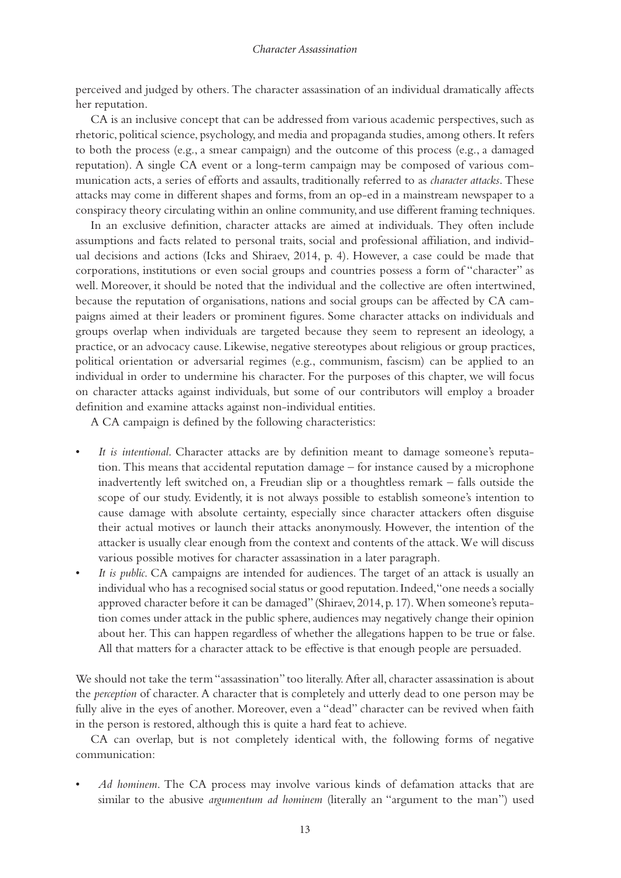perceived and judged by others. The character assassination of an individual dramatically affects her reputation.

CA is an inclusive concept that can be addressed from various academic perspectives, such as rhetoric, political science, psychology, and media and propaganda studies, among others. It refers to both the process (e.g., a smear campaign) and the outcome of this process (e.g., a damaged reputation). A single CA event or a long-term campaign may be composed of various communication acts, a series of efforts and assaults, traditionally referred to as *character attacks*. These attacks may come in different shapes and forms, from an op-ed in a mainstream newspaper to a conspiracy theory circulating within an online community, and use different framing techniques.

In an exclusive definition, character attacks are aimed at individuals. They often include assumptions and facts related to personal traits, social and professional affiliation, and individual decisions and actions (Icks and Shiraev, 2014, p. 4). However, a case could be made that corporations, institutions or even social groups and countries possess a form of "character" as well. Moreover, it should be noted that the individual and the collective are often intertwined, because the reputation of organisations, nations and social groups can be affected by CA campaigns aimed at their leaders or prominent figures. Some character attacks on individuals and groups overlap when individuals are targeted because they seem to represent an ideology, a practice, or an advocacy cause. Likewise, negative stereotypes about religious or group practices, political orientation or adversarial regimes (e.g., communism, fascism) can be applied to an individual in order to undermine his character. For the purposes of this chapter, we will focus on character attacks against individuals, but some of our contributors will employ a broader definition and examine attacks against non-individual entities.

A CA campaign is defined by the following characteristics:

- *It is intentional*. Character attacks are by definition meant to damage someone's reputation. This means that accidental reputation damage – for instance caused by a microphone inadvertently left switched on, a Freudian slip or a thoughtless remark – falls outside the scope of our study. Evidently, it is not always possible to establish someone's intention to cause damage with absolute certainty, especially since character attackers often disguise their actual motives or launch their attacks anonymously. However, the intention of the attacker is usually clear enough from the context and contents of the attack. We will discuss various possible motives for character assassination in a later paragraph.
- *It is public*. CA campaigns are intended for audiences. The target of an attack is usually an individual who has a recognised social status or good reputation. Indeed, "one needs a socially approved character before it can be damaged" (Shiraev, 2014, p. 17). When someone's reputation comes under attack in the public sphere, audiences may negatively change their opinion about her. This can happen regardless of whether the allegations happen to be true or false. All that matters for a character attack to be effective is that enough people are persuaded.

We should not take the term "assassination" too literally. After all, character assassination is about the *perception* of character. A character that is completely and utterly dead to one person may be fully alive in the eyes of another. Moreover, even a "dead" character can be revived when faith in the person is restored, although this is quite a hard feat to achieve.

CA can overlap, but is not completely identical with, the following forms of negative communication:

• *Ad hominem*. The CA process may involve various kinds of defamation attacks that are similar to the abusive *argumentum ad hominem* (literally an "argument to the man") used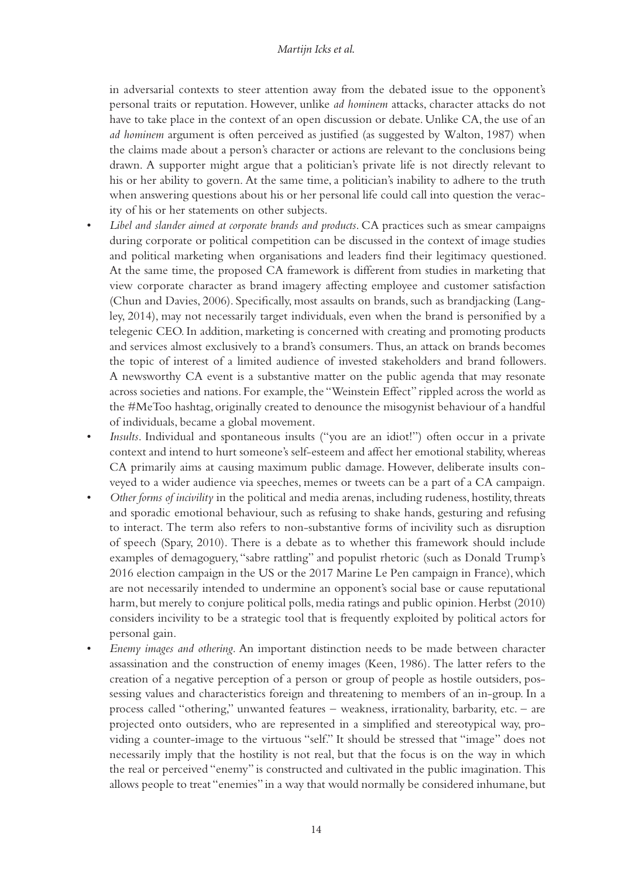#### *Martijn Icks et al.*

in adversarial contexts to steer attention away from the debated issue to the opponent's personal traits or reputation. However, unlike *ad hominem* attacks, character attacks do not have to take place in the context of an open discussion or debate. Unlike CA, the use of an *ad hominem* argument is often perceived as justified (as suggested by Walton, 1987) when the claims made about a person's character or actions are relevant to the conclusions being drawn. A supporter might argue that a politician's private life is not directly relevant to his or her ability to govern. At the same time, a politician's inability to adhere to the truth when answering questions about his or her personal life could call into question the veracity of his or her statements on other subjects.

- *Libel and slander aimed at corporate brands and products*. CA practices such as smear campaigns during corporate or political competition can be discussed in the context of image studies and political marketing when organisations and leaders find their legitimacy questioned. At the same time, the proposed CA framework is different from studies in marketing that view corporate character as brand imagery affecting employee and customer satisfaction (Chun and Davies, 2006). Specifically, most assaults on brands, such as brandjacking (Langley, 2014), may not necessarily target individuals, even when the brand is personified by a telegenic CEO. In addition, marketing is concerned with creating and promoting products and services almost exclusively to a brand's consumers. Thus, an attack on brands becomes the topic of interest of a limited audience of invested stakeholders and brand followers. A newsworthy CA event is a substantive matter on the public agenda that may resonate across societies and nations. For example, the "Weinstein Effect" rippled across the world as the #MeToo hashtag, originally created to denounce the misogynist behaviour of a handful of individuals, became a global movement.
- *Insults*. Individual and spontaneous insults ("you are an idiot!") often occur in a private context and intend to hurt someone's self-esteem and affect her emotional stability, whereas CA primarily aims at causing maximum public damage. However, deliberate insults conveyed to a wider audience via speeches, memes or tweets can be a part of a CA campaign.
- *Other forms of incivility* in the political and media arenas, including rudeness, hostility, threats and sporadic emotional behaviour, such as refusing to shake hands, gesturing and refusing to interact. The term also refers to non-substantive forms of incivility such as disruption of speech (Spary, 2010). There is a debate as to whether this framework should include examples of demagoguery, "sabre rattling" and populist rhetoric (such as Donald Trump's 2016 election campaign in the US or the 2017 Marine Le Pen campaign in France), which are not necessarily intended to undermine an opponent's social base or cause reputational harm, but merely to conjure political polls, media ratings and public opinion. Herbst (2010) considers incivility to be a strategic tool that is frequently exploited by political actors for personal gain.
- *Enemy images and othering*. An important distinction needs to be made between character assassination and the construction of enemy images (Keen, 1986). The latter refers to the creation of a negative perception of a person or group of people as hostile outsiders, possessing values and characteristics foreign and threatening to members of an in-group. In a process called "othering," unwanted features – weakness, irrationality, barbarity, etc. – are projected onto outsiders, who are represented in a simplified and stereotypical way, providing a counter-image to the virtuous "self." It should be stressed that "image" does not necessarily imply that the hostility is not real, but that the focus is on the way in which the real or perceived "enemy" is constructed and cultivated in the public imagination. This allows people to treat "enemies" in a way that would normally be considered inhumane, but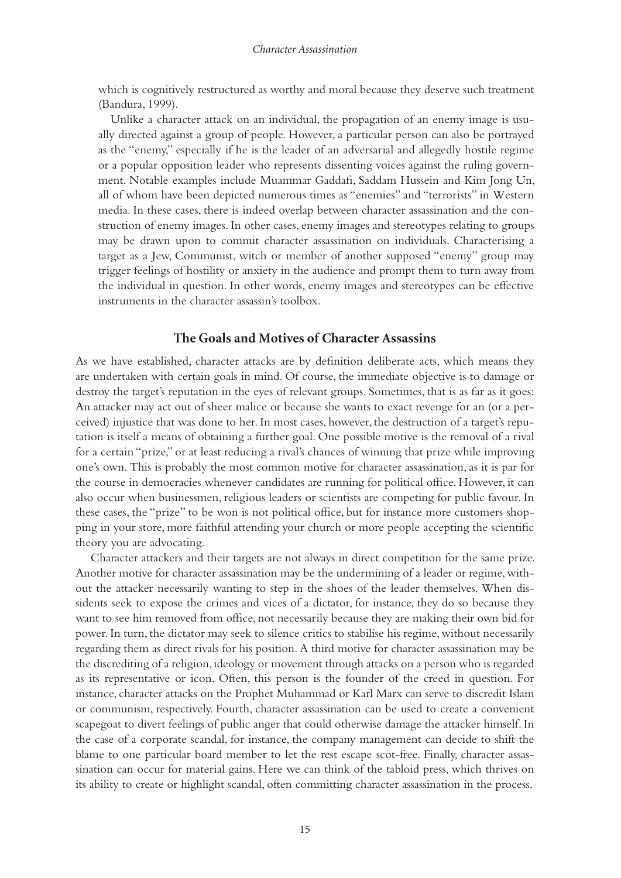which is cognitively restructured as worthy and moral because they deserve such treatment (Bandura, 1999).

 Unlike a character attack on an individual, the propagation of an enemy image is usually directed against a group of people. However, a particular person can also be portrayed as the "enemy," especially if he is the leader of an adversarial and allegedly hostile regime or a popular opposition leader who represents dissenting voices against the ruling government. Notable examples include Muammar Gaddafi, Saddam Hussein and Kim Jong Un, all of whom have been depicted numerous times as "enemies" and "terrorists" in Western media. In these cases, there is indeed overlap between character assassination and the construction of enemy images. In other cases, enemy images and stereotypes relating to groups may be drawn upon to commit character assassination on individuals. Characterising a target as a Jew, Communist, witch or member of another supposed "enemy" group may trigger feelings of hostility or anxiety in the audience and prompt them to turn away from the individual in question. In other words, enemy images and stereotypes can be effective instruments in the character assassin's toolbox.

#### **The Goals and Motives of Character Assassins**

As we have established, character attacks are by definition deliberate acts, which means they are undertaken with certain goals in mind. Of course, the immediate objective is to damage or destroy the target's reputation in the eyes of relevant groups. Sometimes, that is as far as it goes: An attacker may act out of sheer malice or because she wants to exact revenge for an (or a perceived) injustice that was done to her. In most cases, however, the destruction of a target's reputation is itself a means of obtaining a further goal. One possible motive is the removal of a rival for a certain "prize," or at least reducing a rival's chances of winning that prize while improving one's own. This is probably the most common motive for character assassination, as it is par for the course in democracies whenever candidates are running for political office. However, it can also occur when businessmen, religious leaders or scientists are competing for public favour. In these cases, the "prize" to be won is not political office, but for instance more customers shopping in your store, more faithful attending your church or more people accepting the scientific theory you are advocating.

Character attackers and their targets are not always in direct competition for the same prize. Another motive for character assassination may be the undermining of a leader or regime, without the attacker necessarily wanting to step in the shoes of the leader themselves. When dissidents seek to expose the crimes and vices of a dictator, for instance, they do so because they want to see him removed from office, not necessarily because they are making their own bid for power. In turn, the dictator may seek to silence critics to stabilise his regime, without necessarily regarding them as direct rivals for his position. A third motive for character assassination may be the discrediting of a religion, ideology or movement through attacks on a person who is regarded as its representative or icon. Often, this person is the founder of the creed in question. For instance, character attacks on the Prophet Muhammad or Karl Marx can serve to discredit Islam or communism, respectively. Fourth, character assassination can be used to create a convenient scapegoat to divert feelings of public anger that could otherwise damage the attacker himself. In the case of a corporate scandal, for instance, the company management can decide to shift the blame to one particular board member to let the rest escape scot-free. Finally, character assassination can occur for material gains. Here we can think of the tabloid press, which thrives on its ability to create or highlight scandal, often committing character assassination in the process.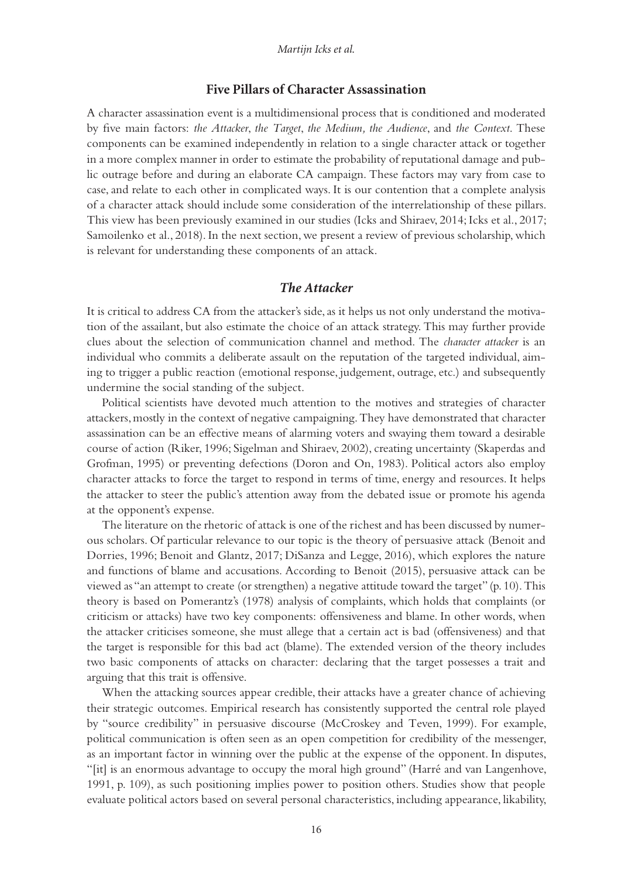#### **Five Pillars of Character Assassination**

A character assassination event is a multidimensional process that is conditioned and moderated by five main factors: *the Attacker*, *the Target*, *the Medium, the Audience*, and *the Context*. These components can be examined independently in relation to a single character attack or together in a more complex manner in order to estimate the probability of reputational damage and public outrage before and during an elaborate CA campaign. These factors may vary from case to case, and relate to each other in complicated ways. It is our contention that a complete analysis of a character attack should include some consideration of the interrelationship of these pillars. This view has been previously examined in our studies (Icks and Shiraev, 2014; Icks et al., 2017; Samoilenko et al., 2018). In the next section, we present a review of previous scholarship, which is relevant for understanding these components of an attack.

#### *The Attacker*

It is critical to address CA from the attacker's side, as it helps us not only understand the motivation of the assailant, but also estimate the choice of an attack strategy. This may further provide clues about the selection of communication channel and method. The *character attacker* is an individual who commits a deliberate assault on the reputation of the targeted individual, aiming to trigger a public reaction (emotional response, judgement, outrage, etc.) and subsequently undermine the social standing of the subject.

Political scientists have devoted much attention to the motives and strategies of character attackers, mostly in the context of negative campaigning. They have demonstrated that character assassination can be an effective means of alarming voters and swaying them toward a desirable course of action (Riker, 1996; Sigelman and Shiraev, 2002), creating uncertainty (Skaperdas and Grofman, 1995) or preventing defections (Doron and On, 1983). Political actors also employ character attacks to force the target to respond in terms of time, energy and resources. It helps the attacker to steer the public's attention away from the debated issue or promote his agenda at the opponent's expense.

The literature on the rhetoric of attack is one of the richest and has been discussed by numerous scholars. Of particular relevance to our topic is the theory of persuasive attack (Benoit and Dorries, 1996; Benoit and Glantz, 2017; DiSanza and Legge, 2016), which explores the nature and functions of blame and accusations. According to Benoit (2015), persuasive attack can be viewed as "an attempt to create (or strengthen) a negative attitude toward the target" (p. 10). This theory is based on Pomerantz's (1978) analysis of complaints, which holds that complaints (or criticism or attacks) have two key components: offensiveness and blame. In other words, when the attacker criticises someone, she must allege that a certain act is bad (offensiveness) and that the target is responsible for this bad act (blame). The extended version of the theory includes two basic components of attacks on character: declaring that the target possesses a trait and arguing that this trait is offensive.

When the attacking sources appear credible, their attacks have a greater chance of achieving their strategic outcomes. Empirical research has consistently supported the central role played by "source credibility" in persuasive discourse (McCroskey and Teven, 1999). For example, political communication is often seen as an open competition for credibility of the messenger, as an important factor in winning over the public at the expense of the opponent. In disputes, "[it] is an enormous advantage to occupy the moral high ground" (Harré and van Langenhove, 1991, p. 109), as such positioning implies power to position others. Studies show that people evaluate political actors based on several personal characteristics, including appearance, likability,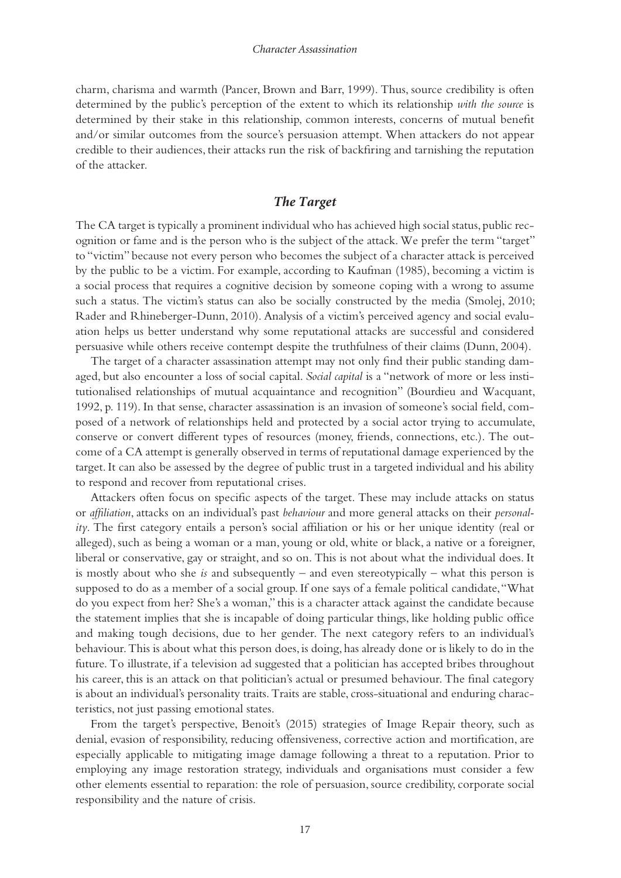charm, charisma and warmth (Pancer, Brown and Barr, 1999). Thus, source credibility is often determined by the public's perception of the extent to which its relationship *with the source* is determined by their stake in this relationship, common interests, concerns of mutual benefit and/or similar outcomes from the source's persuasion attempt. When attackers do not appear credible to their audiences, their attacks run the risk of backfiring and tarnishing the reputation of the attacker.

#### *The Target*

The CA target is typically a prominent individual who has achieved high social status, public recognition or fame and is the person who is the subject of the attack. We prefer the term "target" to "victim" because not every person who becomes the subject of a character attack is perceived by the public to be a victim. For example, according to Kaufman (1985), becoming a victim is a social process that requires a cognitive decision by someone coping with a wrong to assume such a status. The victim's status can also be socially constructed by the media (Smolej, 2010; Rader and Rhineberger-Dunn, 2010). Analysis of a victim's perceived agency and social evaluation helps us better understand why some reputational attacks are successful and considered persuasive while others receive contempt despite the truthfulness of their claims (Dunn, 2004).

The target of a character assassination attempt may not only find their public standing damaged, but also encounter a loss of social capital. *Social capital* is a "network of more or less institutionalised relationships of mutual acquaintance and recognition" (Bourdieu and Wacquant, 1992, p. 119). In that sense, character assassination is an invasion of someone's social field, composed of a network of relationships held and protected by a social actor trying to accumulate, conserve or convert different types of resources (money, friends, connections, etc.). The outcome of a CA attempt is generally observed in terms of reputational damage experienced by the target. It can also be assessed by the degree of public trust in a targeted individual and his ability to respond and recover from reputational crises.

Attackers often focus on specific aspects of the target. These may include attacks on status or *affiliation*, attacks on an individual's past *behaviour* and more general attacks on their *personality*. The first category entails a person's social affiliation or his or her unique identity (real or alleged), such as being a woman or a man, young or old, white or black, a native or a foreigner, liberal or conservative, gay or straight, and so on. This is not about what the individual does. It is mostly about who she *is* and subsequently – and even stereotypically – what this person is supposed to do as a member of a social group. If one says of a female political candidate, "What do you expect from her? She's a woman," this is a character attack against the candidate because the statement implies that she is incapable of doing particular things, like holding public office and making tough decisions, due to her gender. The next category refers to an individual's behaviour. This is about what this person does, is doing, has already done or is likely to do in the future. To illustrate, if a television ad suggested that a politician has accepted bribes throughout his career, this is an attack on that politician's actual or presumed behaviour. The final category is about an individual's personality traits. Traits are stable, cross-situational and enduring characteristics, not just passing emotional states.

From the target's perspective, Benoit's (2015) strategies of Image Repair theory, such as denial, evasion of responsibility, reducing offensiveness, corrective action and mortification, are especially applicable to mitigating image damage following a threat to a reputation. Prior to employing any image restoration strategy, individuals and organisations must consider a few other elements essential to reparation: the role of persuasion, source credibility, corporate social responsibility and the nature of crisis.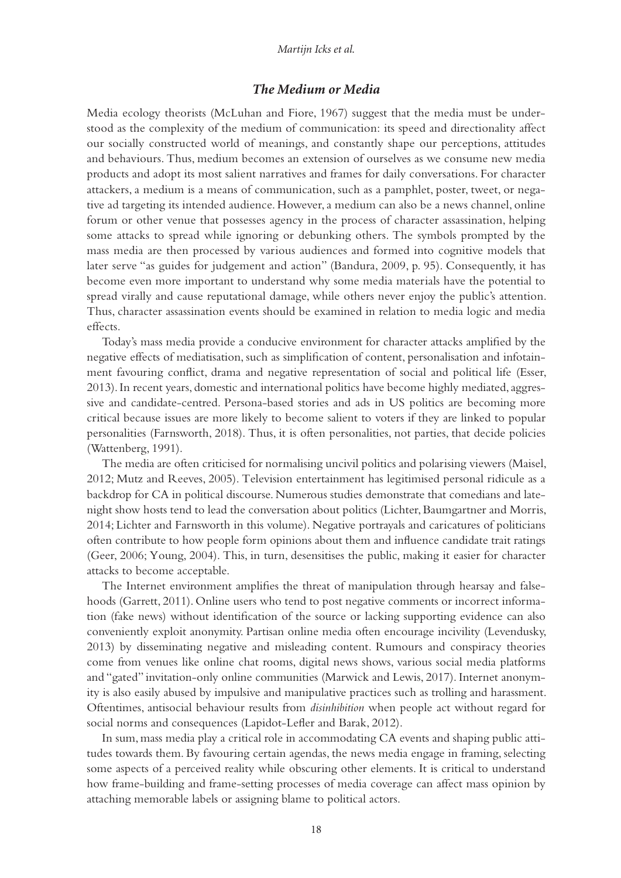#### *Martijn Icks et al.*

#### *The Medium or Media*

Media ecology theorists (McLuhan and Fiore, 1967) suggest that the media must be understood as the complexity of the medium of communication: its speed and directionality affect our socially constructed world of meanings, and constantly shape our perceptions, attitudes and behaviours. Thus, medium becomes an extension of ourselves as we consume new media products and adopt its most salient narratives and frames for daily conversations. For character attackers, a medium is a means of communication, such as a pamphlet, poster, tweet, or negative ad targeting its intended audience. However, a medium can also be a news channel, online forum or other venue that possesses agency in the process of character assassination, helping some attacks to spread while ignoring or debunking others. The symbols prompted by the mass media are then processed by various audiences and formed into cognitive models that later serve "as guides for judgement and action" (Bandura, 2009, p. 95). Consequently, it has become even more important to understand why some media materials have the potential to spread virally and cause reputational damage, while others never enjoy the public's attention. Thus, character assassination events should be examined in relation to media logic and media effects.

Today's mass media provide a conducive environment for character attacks amplified by the negative effects of mediatisation, such as simplification of content, personalisation and infotainment favouring conflict, drama and negative representation of social and political life (Esser, 2013). In recent years, domestic and international politics have become highly mediated, aggressive and candidate-centred. Persona-based stories and ads in US politics are becoming more critical because issues are more likely to become salient to voters if they are linked to popular personalities (Farnsworth, 2018). Thus, it is often personalities, not parties, that decide policies (Wattenberg, 1991).

The media are often criticised for normalising uncivil politics and polarising viewers (Maisel, 2012; Mutz and Reeves, 2005). Television entertainment has legitimised personal ridicule as a backdrop for CA in political discourse. Numerous studies demonstrate that comedians and latenight show hosts tend to lead the conversation about politics (Lichter, Baumgartner and Morris, 2014; Lichter and Farnsworth in this volume). Negative portrayals and caricatures of politicians often contribute to how people form opinions about them and influence candidate trait ratings (Geer, 2006; Young, 2004). This, in turn, desensitises the public, making it easier for character attacks to become acceptable.

The Internet environment amplifies the threat of manipulation through hearsay and falsehoods (Garrett, 2011). Online users who tend to post negative comments or incorrect information (fake news) without identification of the source or lacking supporting evidence can also conveniently exploit anonymity. Partisan online media often encourage incivility (Levendusky, 2013) by disseminating negative and misleading content. Rumours and conspiracy theories come from venues like online chat rooms, digital news shows, various social media platforms and "gated" invitation-only online communities (Marwick and Lewis, 2017). Internet anonymity is also easily abused by impulsive and manipulative practices such as trolling and harassment. Oftentimes, antisocial behaviour results from *disinhibition* when people act without regard for social norms and consequences (Lapidot-Lefler and Barak, 2012).

In sum, mass media play a critical role in accommodating CA events and shaping public attitudes towards them. By favouring certain agendas, the news media engage in framing, selecting some aspects of a perceived reality while obscuring other elements. It is critical to understand how frame-building and frame-setting processes of media coverage can affect mass opinion by attaching memorable labels or assigning blame to political actors.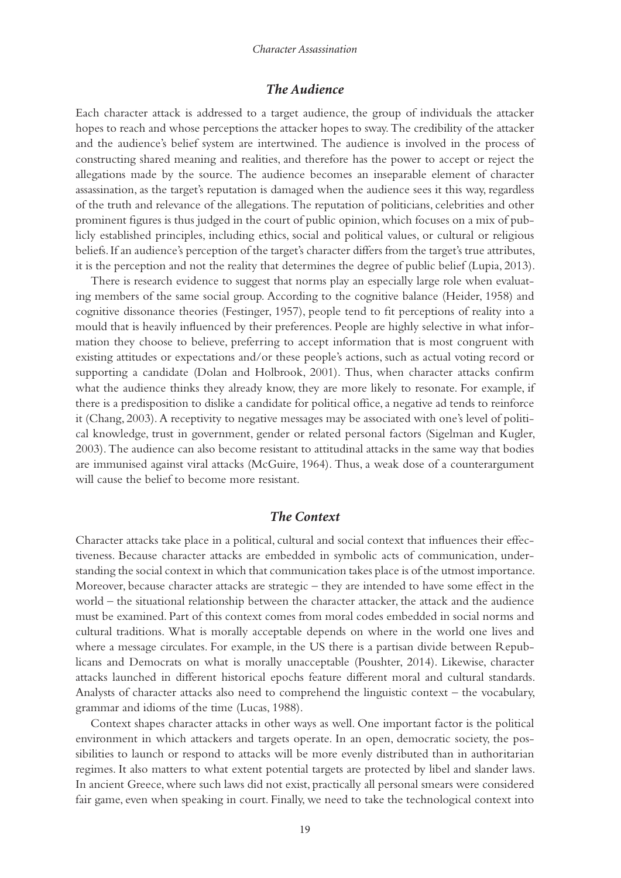#### *Character Assassination*

#### *The Audience*

Each character attack is addressed to a target audience, the group of individuals the attacker hopes to reach and whose perceptions the attacker hopes to sway. The credibility of the attacker and the audience's belief system are intertwined. The audience is involved in the process of constructing shared meaning and realities, and therefore has the power to accept or reject the allegations made by the source. The audience becomes an inseparable element of character assassination, as the target's reputation is damaged when the audience sees it this way, regardless of the truth and relevance of the allegations. The reputation of politicians, celebrities and other prominent figures is thus judged in the court of public opinion, which focuses on a mix of publicly established principles, including ethics, social and political values, or cultural or religious beliefs. If an audience's perception of the target's character differs from the target's true attributes, it is the perception and not the reality that determines the degree of public belief (Lupia, 2013).

There is research evidence to suggest that norms play an especially large role when evaluating members of the same social group. According to the cognitive balance (Heider, 1958) and cognitive dissonance theories (Festinger, 1957), people tend to fit perceptions of reality into a mould that is heavily influenced by their preferences. People are highly selective in what information they choose to believe, preferring to accept information that is most congruent with existing attitudes or expectations and/or these people's actions, such as actual voting record or supporting a candidate (Dolan and Holbrook, 2001). Thus, when character attacks confirm what the audience thinks they already know, they are more likely to resonate. For example, if there is a predisposition to dislike a candidate for political office, a negative ad tends to reinforce it (Chang, 2003). A receptivity to negative messages may be associated with one's level of political knowledge, trust in government, gender or related personal factors (Sigelman and Kugler, 2003). The audience can also become resistant to attitudinal attacks in the same way that bodies are immunised against viral attacks (McGuire, 1964). Thus, a weak dose of a counterargument will cause the belief to become more resistant.

#### *The Context*

Character attacks take place in a political, cultural and social context that influences their effectiveness. Because character attacks are embedded in symbolic acts of communication, understanding the social context in which that communication takes place is of the utmost importance. Moreover, because character attacks are strategic – they are intended to have some effect in the world – the situational relationship between the character attacker, the attack and the audience must be examined. Part of this context comes from moral codes embedded in social norms and cultural traditions. What is morally acceptable depends on where in the world one lives and where a message circulates. For example, in the US there is a partisan divide between Republicans and Democrats on what is morally unacceptable (Poushter, 2014). Likewise, character attacks launched in different historical epochs feature different moral and cultural standards. Analysts of character attacks also need to comprehend the linguistic context – the vocabulary, grammar and idioms of the time (Lucas, 1988).

Context shapes character attacks in other ways as well. One important factor is the political environment in which attackers and targets operate. In an open, democratic society, the possibilities to launch or respond to attacks will be more evenly distributed than in authoritarian regimes. It also matters to what extent potential targets are protected by libel and slander laws. In ancient Greece, where such laws did not exist, practically all personal smears were considered fair game, even when speaking in court. Finally, we need to take the technological context into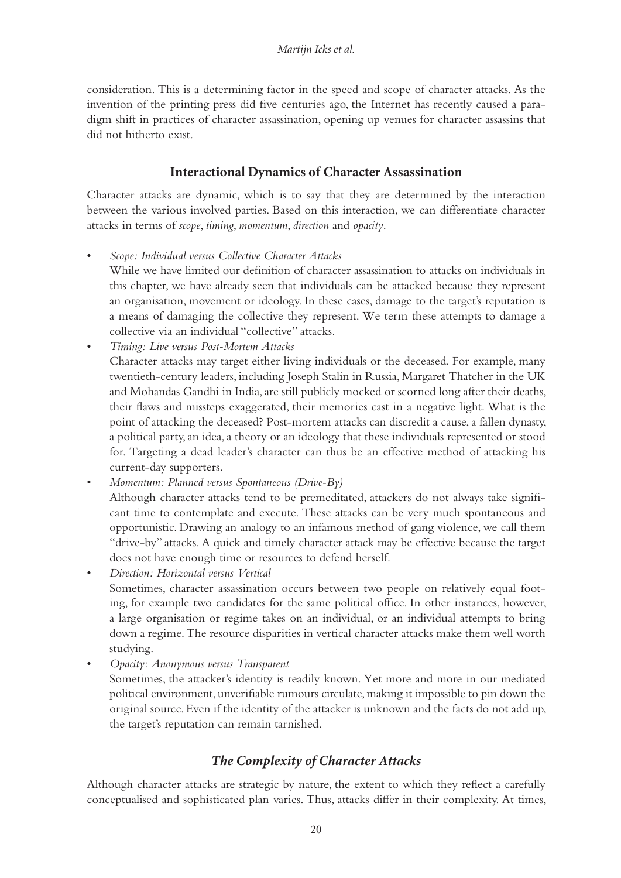consideration. This is a determining factor in the speed and scope of character attacks. As the invention of the printing press did five centuries ago, the Internet has recently caused a paradigm shift in practices of character assassination, opening up venues for character assassins that did not hitherto exist.

## **Interactional Dynamics of Character Assassination**

Character attacks are dynamic, which is to say that they are determined by the interaction between the various involved parties. Based on this interaction, we can differentiate character attacks in terms of *scope*, *timing*, *momentum*, *direction* and *opacity*.

• *Scope: Individual versus Collective Character Attacks*

While we have limited our definition of character assassination to attacks on individuals in this chapter, we have already seen that individuals can be attacked because they represent an organisation, movement or ideology. In these cases, damage to the target's reputation is a means of damaging the collective they represent. We term these attempts to damage a collective via an individual "collective" attacks.

• *Timing: Live versus Post-Mortem Attacks*

Character attacks may target either living individuals or the deceased. For example, many twentieth-century leaders, including Joseph Stalin in Russia, Margaret Thatcher in the UK and Mohandas Gandhi in India, are still publicly mocked or scorned long after their deaths, their flaws and missteps exaggerated, their memories cast in a negative light. What is the point of attacking the deceased? Post-mortem attacks can discredit a cause, a fallen dynasty, a political party, an idea, a theory or an ideology that these individuals represented or stood for. Targeting a dead leader's character can thus be an effective method of attacking his current-day supporters.

• *Momentum: Planned versus Spontaneous (Drive-By)*

Although character attacks tend to be premeditated, attackers do not always take significant time to contemplate and execute. These attacks can be very much spontaneous and opportunistic. Drawing an analogy to an infamous method of gang violence, we call them "drive-by" attacks. A quick and timely character attack may be effective because the target does not have enough time or resources to defend herself.

• *Direction: Horizontal versus Vertical* Sometimes, character assassination occurs between two people on relatively equal footing, for example two candidates for the same political office. In other instances, however, a large organisation or regime takes on an individual, or an individual attempts to bring down a regime. The resource disparities in vertical character attacks make them well worth studying.

• *Opacity: Anonymous versus Transparent*

Sometimes, the attacker's identity is readily known. Yet more and more in our mediated political environment, unverifiable rumours circulate, making it impossible to pin down the original source. Even if the identity of the attacker is unknown and the facts do not add up, the target's reputation can remain tarnished.

## *The Complexity of Character Attacks*

Although character attacks are strategic by nature, the extent to which they reflect a carefully conceptualised and sophisticated plan varies. Thus, attacks differ in their complexity. At times,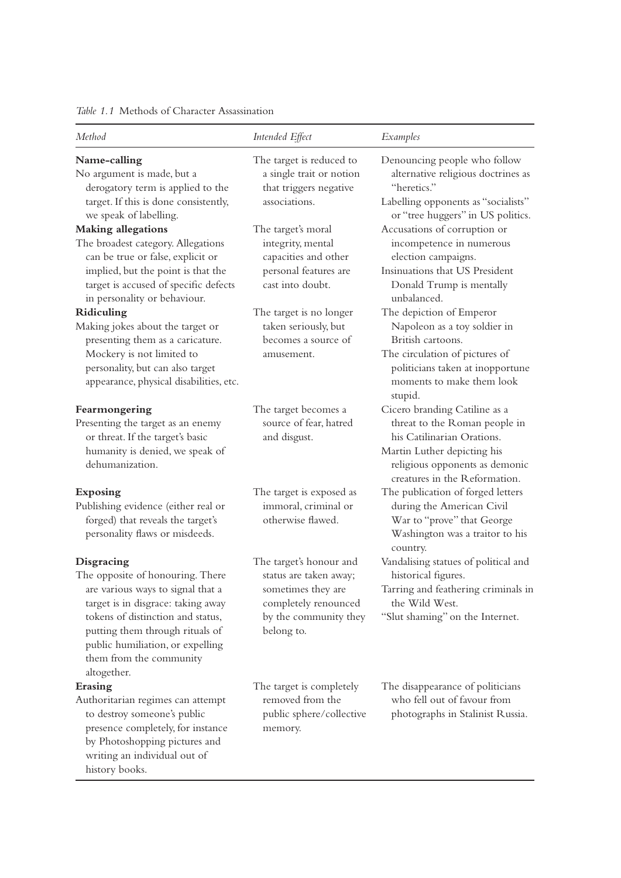<span id="page-11-0"></span>

| Method                                                                                                                                                                                   | Intended Effect                                                                                                                        | Examples                                                                                                   |
|------------------------------------------------------------------------------------------------------------------------------------------------------------------------------------------|----------------------------------------------------------------------------------------------------------------------------------------|------------------------------------------------------------------------------------------------------------|
| Name-calling                                                                                                                                                                             | The target is reduced to<br>a single trait or notion<br>that triggers negative<br>associations.                                        | Denouncing people who follow                                                                               |
| No argument is made, but a<br>derogatory term is applied to the<br>target. If this is done consistently,                                                                                 |                                                                                                                                        | alternative religious doctrines as<br>"heretics."<br>Labelling opponents as "socialists"                   |
| we speak of labelling.                                                                                                                                                                   |                                                                                                                                        | or "tree huggers" in US politics.                                                                          |
| <b>Making allegations</b>                                                                                                                                                                | The target's moral<br>integrity, mental<br>capacities and other<br>personal features are<br>cast into doubt.                           | Accusations of corruption or<br>incompetence in numerous<br>election campaigns.                            |
| The broadest category. Allegations<br>can be true or false, explicit or                                                                                                                  |                                                                                                                                        |                                                                                                            |
| implied, but the point is that the<br>target is accused of specific defects                                                                                                              |                                                                                                                                        | Insinuations that US President<br>Donald Trump is mentally                                                 |
| in personality or behaviour.                                                                                                                                                             |                                                                                                                                        | unbalanced.                                                                                                |
| Ridiculing                                                                                                                                                                               | The target is no longer<br>taken seriously, but<br>becomes a source of<br>amusement.                                                   | The depiction of Emperor                                                                                   |
| Making jokes about the target or<br>presenting them as a caricature.                                                                                                                     |                                                                                                                                        | Napoleon as a toy soldier in<br>British cartoons.                                                          |
| Mockery is not limited to<br>personality, but can also target<br>appearance, physical disabilities, etc.                                                                                 |                                                                                                                                        | The circulation of pictures of<br>politicians taken at inopportune<br>moments to make them look<br>stupid. |
| Fearmongering                                                                                                                                                                            | The target becomes a<br>source of fear, hatred<br>and disgust.                                                                         | Cicero branding Catiline as a                                                                              |
| Presenting the target as an enemy<br>or threat. If the target's basic                                                                                                                    |                                                                                                                                        | threat to the Roman people in<br>his Catilinarian Orations.                                                |
| humanity is denied, we speak of<br>dehumanization.                                                                                                                                       |                                                                                                                                        | Martin Luther depicting his<br>religious opponents as demonic<br>creatures in the Reformation.             |
| Exposing                                                                                                                                                                                 | The target is exposed as                                                                                                               | The publication of forged letters                                                                          |
| Publishing evidence (either real or<br>forged) that reveals the target's<br>personality flaws or misdeeds.                                                                               | immoral, criminal or<br>otherwise flawed.                                                                                              | during the American Civil<br>War to "prove" that George<br>Washington was a traitor to his<br>country.     |
| Disgracing<br>The opposite of honouring. There                                                                                                                                           | The target's honour and<br>status are taken away;<br>sometimes they are<br>completely renounced<br>by the community they<br>belong to. | Vandalising statues of political and<br>historical figures.                                                |
| are various ways to signal that a                                                                                                                                                        |                                                                                                                                        | Tarring and feathering criminals in<br>the Wild West.                                                      |
| target is in disgrace: taking away<br>tokens of distinction and status,<br>putting them through rituals of<br>public humiliation, or expelling<br>them from the community<br>altogether. |                                                                                                                                        | "Slut shaming" on the Internet.                                                                            |
| Erasing                                                                                                                                                                                  | The target is completely                                                                                                               | The disappearance of politicians                                                                           |
| Authoritarian regimes can attempt<br>to destroy someone's public<br>presence completely, for instance<br>by Photoshopping pictures and<br>writing an individual out of<br>history books. | removed from the<br>public sphere/collective<br>memory.                                                                                | who fell out of favour from<br>photographs in Stalinist Russia.                                            |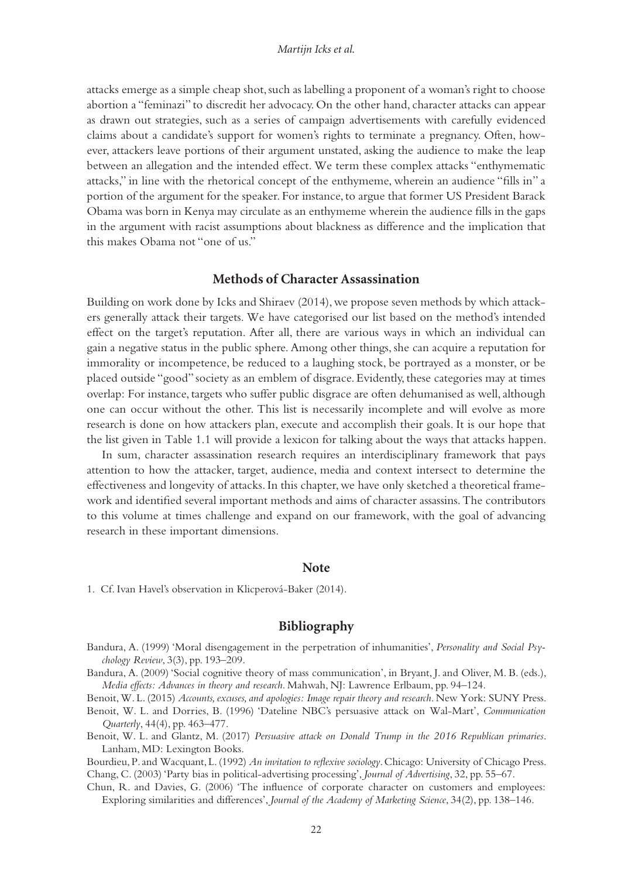<span id="page-12-0"></span>attacks emerge as a simple cheap shot, such as labelling a proponent of a woman's right to choose abortion a "feminazi" to discredit her advocacy. On the other hand, character attacks can appear as drawn out strategies, such as a series of campaign advertisements with carefully evidenced claims about a candidate's support for women's rights to terminate a pregnancy. Often, however, attackers leave portions of their argument unstated, asking the audience to make the leap between an allegation and the intended effect. We term these complex attacks "enthymematic attacks," in line with the rhetorical concept of the enthymeme, wherein an audience "fills in" a portion of the argument for the speaker. For instance, to argue that former US President Barack Obama was born in Kenya may circulate as an enthymeme wherein the audience fills in the gaps in the argument with racist assumptions about blackness as difference and the implication that this makes Obama not "one of us."

#### **Methods of Character Assassination**

Building on work done by Icks and Shiraev (2014), we propose seven methods by which attackers generally attack their targets. We have categorised our list based on the method's intended effect on the target's reputation. After all, there are various ways in which an individual can gain a negative status in the public sphere. Among other things, she can acquire a reputation for immorality or incompetence, be reduced to a laughing stock, be portrayed as a monster, or be placed outside "good" society as an emblem of disgrace. Evidently, these categories may at times overlap: For instance, targets who suffer public disgrace are often dehumanised as well, although one can occur without the other. This list is necessarily incomplete and will evolve as more research is done on how attackers plan, execute and accomplish their goals. It is our hope that the list given in [Table](#page-11-0) 1.1 will provide a lexicon for talking about the ways that attacks happen.

In sum, character assassination research requires an interdisciplinary framework that pays attention to how the attacker, target, audience, media and context intersect to determine the effectiveness and longevity of attacks. In this chapter, we have only sketched a theoretical framework and identified several important methods and aims of character assassins. The contributors to this volume at times challenge and expand on our framework, with the goal of advancing research in these important dimensions.

#### **Note**

[1.](#page-2-0) Cf. Ivan Havel's observation in Klicperová-Baker (2014).

#### **Bibliography**

- Bandura, A. (1999) 'Moral disengagement in the perpetration of inhumanities', *Personality and Social Psychology Review*, 3(3), pp. 193–209.
- Bandura, A. (2009) 'Social cognitive theory of mass communication', in Bryant, J. and Oliver, M. B. (eds.), *Media effects: Advances in theory and research*. Mahwah, NJ: Lawrence Erlbaum, pp. 94–124.

Benoit, W. L. (2015) *Accounts, excuses, and apologies: Image repair theory and research*. New York: SUNY Press.

- Benoit, W. L. and Dorries, B. (1996) 'Dateline NBC's persuasive attack on Wal-Mart', *Communication Quarterly*, 44(4), pp. 463–477.
- Benoit, W. L. and Glantz, M. (2017) *Persuasive attack on Donald Trump in the 2016 Republican primaries*. Lanham, MD: Lexington Books.

Bourdieu, P. and Wacquant, L. (1992) *An invitation to reflexive sociology*. Chicago: University of Chicago Press. Chang, C. (2003) 'Party bias in political-advertising processing', *Journal of Advertising*, 32, pp. 55–67.

Chun, R. and Davies, G. (2006) 'The influence of corporate character on customers and employees: Exploring similarities and differences', *Journal of the Academy of Marketing Science*, 34(2), pp. 138–146.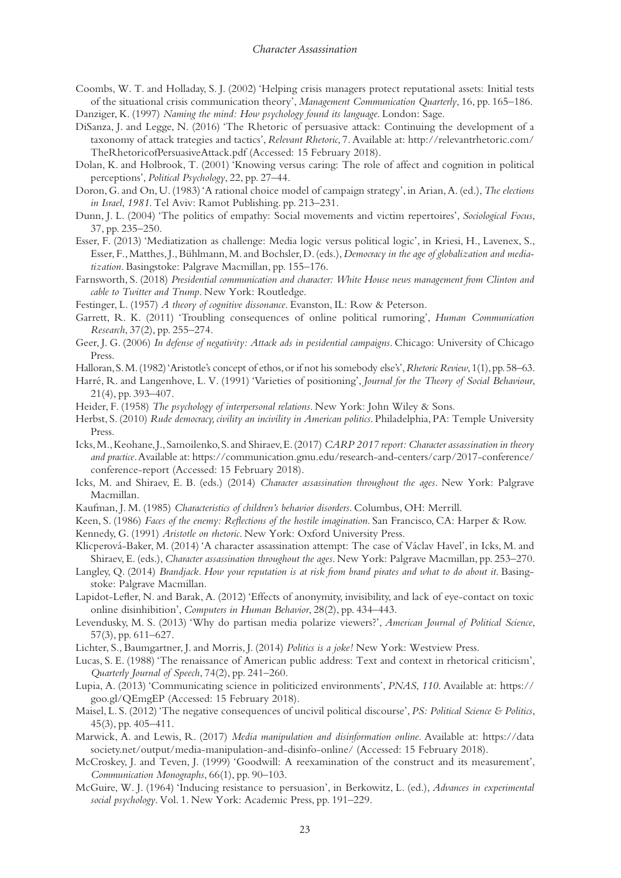Coombs, W. T. and Holladay, S. J. (2002) 'Helping crisis managers protect reputational assets: Initial tests of the situational crisis communication theory', *Management Communication Quarterly*, 16, pp. 165–186.

Danziger, K. (1997) *Naming the mind: How psychology found its language*. London: Sage.

- DiSanza, J. and Legge, N. (2016) 'The Rhetoric of persuasive attack: Continuing the development of a taxonomy of attack trategies and tactics', *Relevant Rhetoric*, 7. Available at: [http://relevantrhetoric.com/](http://relevantrhetoric.com) [TheRhetoricofPersuasiveAttack.pdf](http://relevantrhetoric.com) (Accessed: 15 February 2018).
- Dolan, K. and Holbrook, T. (2001) 'Knowing versus caring: The role of affect and cognition in political perceptions', *Political Psychology*, 22, pp. 27–44.
- Doron, G. and On, U. (1983) 'A rational choice model of campaign strategy', in Arian, A. (ed.), *The elections in Israel*, *1981*. Tel Aviv: Ramot Publishing. pp. 213–231.
- Dunn, J. L. (2004) 'The politics of empathy: Social movements and victim repertoires', *Sociological Focus*, 37, pp. 235–250.
- Esser, F. (2013) 'Mediatization as challenge: Media logic versus political logic', in Kriesi, H., Lavenex, S., Esser, F., Matthes, J., Bühlmann, M. and Bochsler, D. (eds.), *Democracy in the age of globalization and mediatization*. Basingstoke: Palgrave Macmillan, pp. 155–176.
- Farnsworth, S. (2018) *Presidential communication and character: White House news management from Clinton and cable to Twitter and Trump*. New York: Routledge.
- Festinger, L. (1957) *A theory of cognitive dissonance*. Evanston, IL: Row & Peterson.
- Garrett, R. K. (2011) 'Troubling consequences of online political rumoring', *Human Communication Research*, 37(2), pp. 255–274.
- Geer, J. G. (2006) *In defense of negativity: Attack ads in pesidential campaigns*. Chicago: University of Chicago Press.
- Halloran, S. M. (1982) 'Aristotle's concept of ethos, or if not his somebody else's', *Rhetoric Review*, 1(1), pp.58–63.
- Harré, R. and Langenhove, L. V. (1991) 'Varieties of positioning', *Journal for the Theory of Social Behaviour*, 21(4), pp. 393–407.
- Heider, F. (1958) *The psychology of interpersonal relations*. New York: John Wiley & Sons.
- Herbst, S. (2010) *Rude democracy, civility an incivility in American politics*. Philadelphia, PA: Temple University Press.
- Icks, M., Keohane, J., Samoilenko, S. and Shiraev, E. (2017) *CARP 2017 report: Character assassination in theory and practice*. Available at: [https://communication.gmu.edu/research-and-centers/carp/2017-conference/](https://communication.gmu.edu) [conference-report](https://communication.gmu.edu) (Accessed: 15 February 2018).
- Icks, M. and Shiraev, E. B. (eds.) (2014) *Character assassination throughout the ages*. New York: Palgrave Macmillan.
- Kaufman, J. M. (1985) *Characteristics of children's behavior disorders*. Columbus, OH: Merrill.
- Keen, S. (1986) *Faces of the enemy: Reflections of the hostile imagination*. San Francisco, CA: Harper & Row.
- Kennedy, G. (1991) *Aristotle on rhetoric*. New York: Oxford University Press.
- Klicperová-Baker, M. (2014) 'A character assassination attempt: The case of Václav Havel', in Icks, M. and Shiraev, E. (eds.), *Character assassination throughout the ages*. New York: Palgrave Macmillan, pp. 253–270.
- Langley, Q. (2014) *Brandjack. How your reputation is at risk from brand pirates and what to do about it*. Basingstoke: Palgrave Macmillan.
- Lapidot-Lefler, N. and Barak, A. (2012) 'Effects of anonymity, invisibility, and lack of eye-contact on toxic online disinhibition', *Computers in Human Behavior*, 28(2), pp. 434–443.
- Levendusky, M. S. (2013) 'Why do partisan media polarize viewers?', *American Journal of Political Science*, 57(3), pp. 611–627.
- Lichter, S., Baumgartner, J. and Morris, J. (2014) *Politics is a joke!* New York: Westview Press.
- Lucas, S. E. (1988) 'The renaissance of American public address: Text and context in rhetorical criticism', *Quarterly Journal of Speech*, 74(2), pp. 241–260.
- Lupia, A. (2013) 'Communicating science in politicized environments', *PNAS*, *110*. Available at: [https://](https://goo.gl) [goo.gl/QEmgEP](https://goo.gl) (Accessed: 15 February 2018).
- Maisel, L. S. (2012) 'The negative consequences of uncivil political discourse', *PS: Political Science & Politics*, 45(3), pp. 405–411.
- Marwick, A. and Lewis, R. (2017) *Media manipulation and disinformation online*. Available at: [https://data](https://datasociety.net) [society.net/output/media-manipulation-and-disinfo-online/](https://datasociety.net) (Accessed: 15 February 2018).
- McCroskey, J. and Teven, J. (1999) 'Goodwill: A reexamination of the construct and its measurement', *Communication Monographs*, 66(1), pp. 90–103.
- McGuire, W. J. (1964) 'Inducing resistance to persuasion', in Berkowitz, L. (ed.), *Advances in experimental social psychology*. Vol. 1. New York: Academic Press, pp. 191–229.